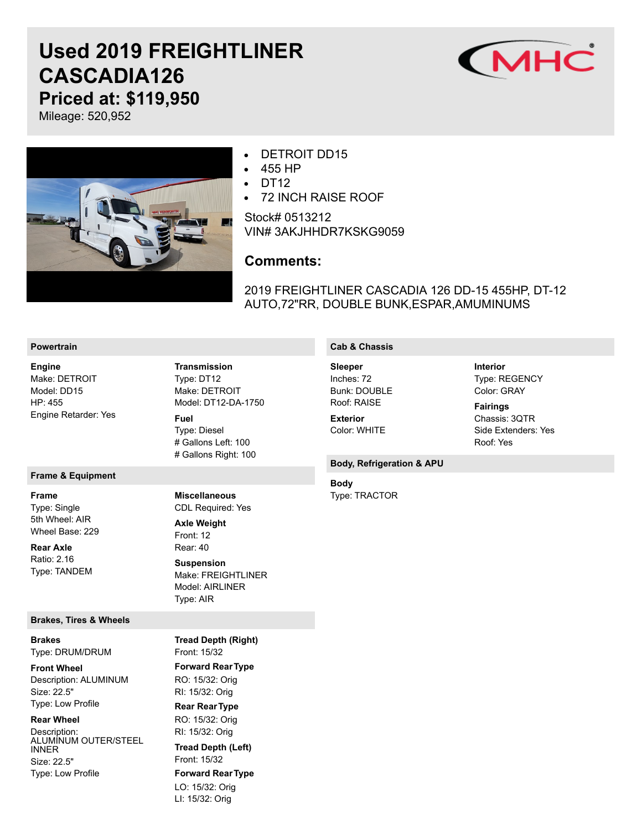# **Used 2019 FREIGHTLINER CASCADIA126 Priced at: \$119,950**



Mileage: 520,952



#### DETROIT DD15  $\bullet$

- 455 HP  $\bullet$
- $\bullet$ DT<sub>12</sub>
- 72 INCH RAISE ROOF  $\bullet$

Stock# 0513212 VIN# 3AKJHHDR7KSKG9059

## **Comments:**

2019 FREIGHTLINER CASCADIA 126 DD-15 455HP, DT-12 AUTO,72"RR, DOUBLE BUNK,ESPAR,AMUMINUMS

### **Powertrain**

Make: DETROIT Model: DD15 HP: 455 Engine Retarder: Yes **Engine**

#### **Frame & Equipment**

Type: Single 5th Wheel: AIR Wheel Base: 229 **Frame**

Ratio: 2.16 Type: TANDEM **Rear Axle**

#### **Brakes, Tires & Wheels**

Type: DRUM/DRUM **Brakes**

Description: ALUMINUM Size: 22.5" Type: Low Profile **Front Wheel**

Description: ALUMINUM OUTER/STEEL INNER Size: 22.5" Type: Low Profile **Rear Wheel**

Type: DT12 Make: DETROIT Model: DT12-DA-1750 **Transmission Fuel**

Type: Diesel # Gallons Left: 100 # Gallons Right: 100

CDL Required: Yes **Miscellaneous**

Front: 12 Rear: 40 Make: FREIGHTLINER Model: AIRLINER Type: AIR **Axle Weight Suspension**

Front: 15/32 **Forward RearType** RO: 15/32: Orig RI: 15/32: Orig **Rear RearType** RO: 15/32: Orig RI: 15/32: Orig Front: 15/32 **Forward RearType** LO: 15/32: Orig LI: 15/32: Orig **Tread Depth (Right) Tread Depth (Left)**

## **Cab & Chassis**

Inches: 72 Bunk: DOUBLE Roof: RAISE **Sleeper**

Color: WHITE **Exterior**

### **Body, Refrigeration & APU**

Type: TRACTOR **Body**

Type: REGENCY Color: GRAY **Fairings**

**Interior**

Chassis: 3QTR Side Extenders: Yes Roof: Yes